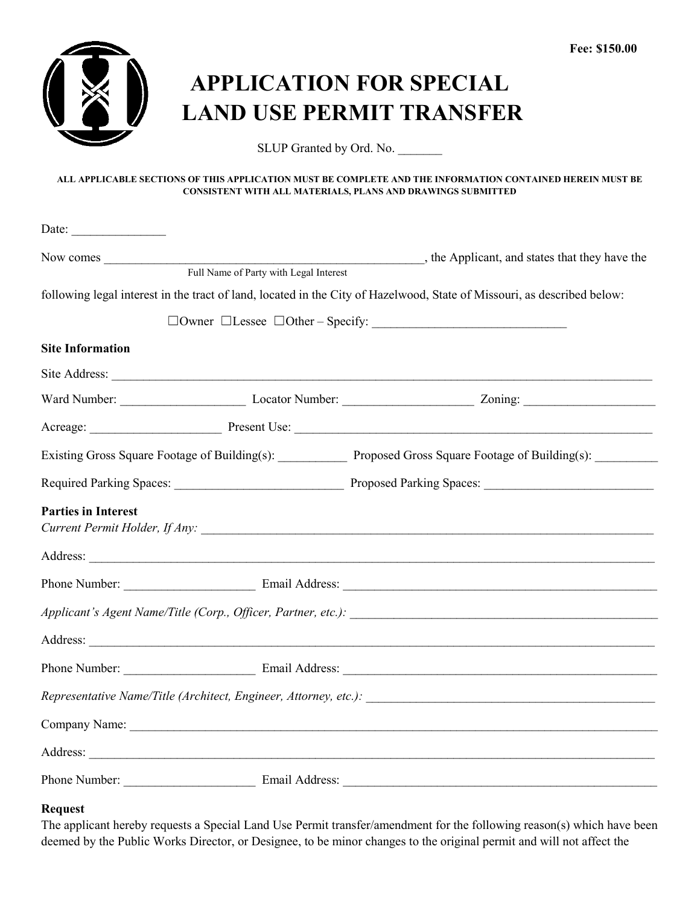

# **APPLICATION FOR SPECIAL LAND USE PERMIT TRANSFER**

SLUP Granted by Ord. No.

#### **ALL APPLICABLE SECTIONS OF THIS APPLICATION MUST BE COMPLETE AND THE INFORMATION CONTAINED HEREIN MUST BE CONSISTENT WITH ALL MATERIALS, PLANS AND DRAWINGS SUBMITTED**

|                            | Full Name of Party with Legal Interest |                                                                                                                         |
|----------------------------|----------------------------------------|-------------------------------------------------------------------------------------------------------------------------|
|                            |                                        | following legal interest in the tract of land, located in the City of Hazelwood, State of Missouri, as described below: |
|                            |                                        |                                                                                                                         |
| <b>Site Information</b>    |                                        |                                                                                                                         |
|                            |                                        |                                                                                                                         |
|                            |                                        |                                                                                                                         |
|                            |                                        |                                                                                                                         |
|                            |                                        | Existing Gross Square Footage of Building(s): Proposed Gross Square Footage of Building(s): _______                     |
|                            |                                        |                                                                                                                         |
| <b>Parties in Interest</b> |                                        |                                                                                                                         |
|                            |                                        |                                                                                                                         |
|                            |                                        |                                                                                                                         |
|                            |                                        |                                                                                                                         |
|                            |                                        | Address: <u>Address:</u>                                                                                                |
|                            |                                        |                                                                                                                         |
|                            |                                        |                                                                                                                         |
|                            |                                        |                                                                                                                         |
|                            |                                        |                                                                                                                         |
|                            |                                        | Phone Number: Email Address: Email Address:                                                                             |

### **Request**

The applicant hereby requests a Special Land Use Permit transfer/amendment for the following reason(s) which have been deemed by the Public Works Director, or Designee, to be minor changes to the original permit and will not affect the